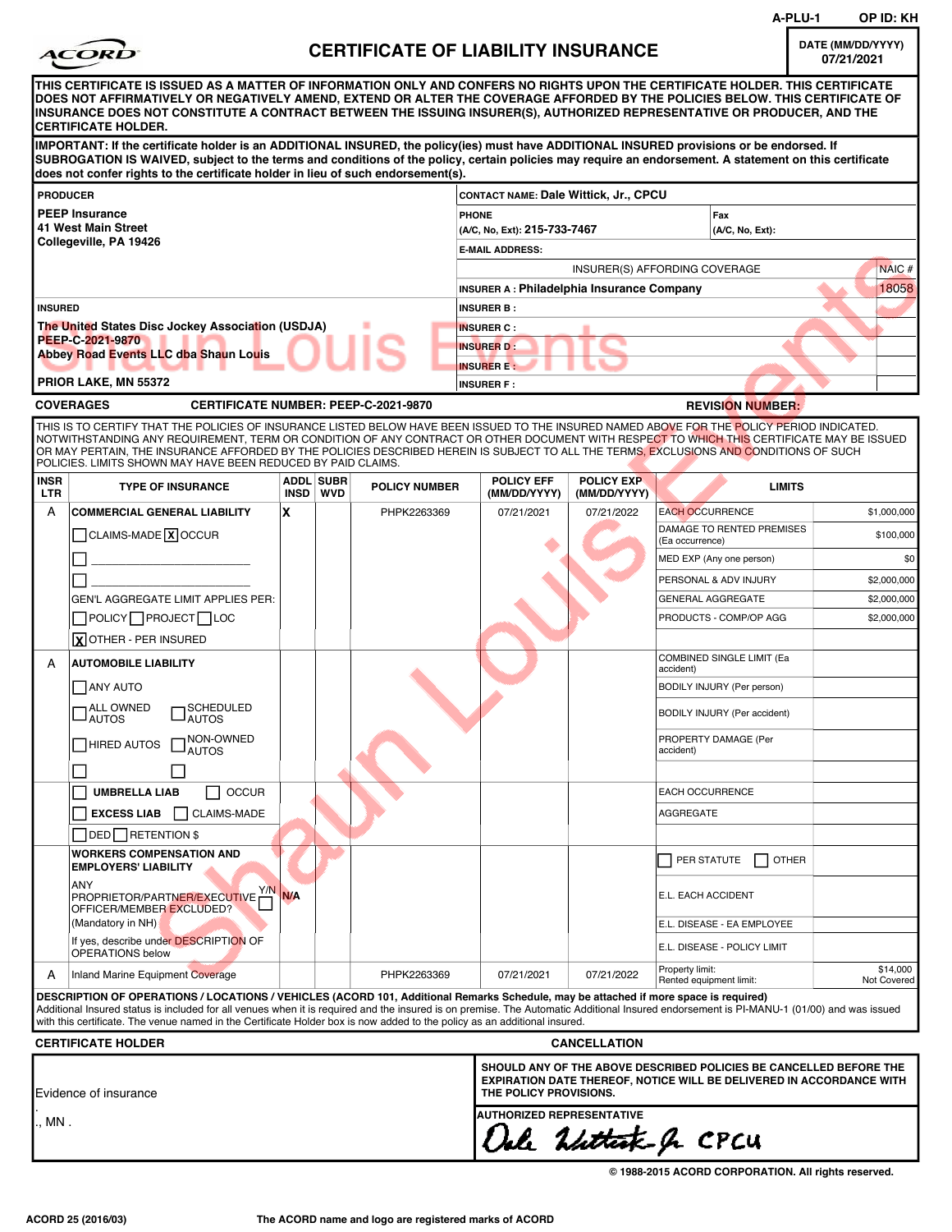|                        |                                                                                                                                                                                                                                                                                                                                                                                                                                                                                                    |     |                              |                                           |                                                                                                                                                                             |                                                  |                                              | A-PLU-1       | OP ID: KH                       |
|------------------------|----------------------------------------------------------------------------------------------------------------------------------------------------------------------------------------------------------------------------------------------------------------------------------------------------------------------------------------------------------------------------------------------------------------------------------------------------------------------------------------------------|-----|------------------------------|-------------------------------------------|-----------------------------------------------------------------------------------------------------------------------------------------------------------------------------|--------------------------------------------------|----------------------------------------------|---------------|---------------------------------|
|                        | <b>ACORI</b>                                                                                                                                                                                                                                                                                                                                                                                                                                                                                       |     |                              | <b>CERTIFICATE OF LIABILITY INSURANCE</b> |                                                                                                                                                                             |                                                  |                                              |               | DATE (MM/DD/YYYY)<br>07/21/2021 |
|                        | THIS CERTIFICATE IS ISSUED AS A MATTER OF INFORMATION ONLY AND CONFERS NO RIGHTS UPON THE CERTIFICATE HOLDER. THIS CERTIFICATE<br>DOES NOT AFFIRMATIVELY OR NEGATIVELY AMEND, EXTEND OR ALTER THE COVERAGE AFFORDED BY THE POLICIES BELOW. THIS CERTIFICATE OF<br>INSURANCE DOES NOT CONSTITUTE A CONTRACT BETWEEN THE ISSUING INSURER(S), AUTHORIZED REPRESENTATIVE OR PRODUCER, AND THE<br> CERTIFICATE HOLDER.                                                                                  |     |                              |                                           |                                                                                                                                                                             |                                                  |                                              |               |                                 |
|                        | IMPORTANT: If the certificate holder is an ADDITIONAL INSURED, the policy(ies) must have ADDITIONAL INSURED provisions or be endorsed. If<br>SUBROGATION IS WAIVED, subject to the terms and conditions of the policy, certain policies may require an endorsement. A statement on this certificate<br>does not confer rights to the certificate holder in lieu of such endorsement(s).                                                                                                            |     |                              |                                           |                                                                                                                                                                             |                                                  |                                              |               |                                 |
| <b>PRODUCER</b>        |                                                                                                                                                                                                                                                                                                                                                                                                                                                                                                    |     |                              |                                           | CONTACT NAME: Dale Wittick, Jr., CPCU                                                                                                                                       |                                                  |                                              |               |                                 |
|                        | <b>PEEP Insurance</b><br>41 West Main Street                                                                                                                                                                                                                                                                                                                                                                                                                                                       |     |                              |                                           | <b>PHONE</b><br>Fax                                                                                                                                                         |                                                  |                                              |               |                                 |
|                        | Collegeville, PA 19426                                                                                                                                                                                                                                                                                                                                                                                                                                                                             |     |                              |                                           | (A/C, No, Ext): 215-733-7467<br>(A/C, No, Ext):<br><b>E-MAIL ADDRESS:</b>                                                                                                   |                                                  |                                              |               |                                 |
|                        |                                                                                                                                                                                                                                                                                                                                                                                                                                                                                                    |     |                              |                                           | INSURER(S) AFFORDING COVERAGE<br>NAIC#                                                                                                                                      |                                                  |                                              |               |                                 |
|                        |                                                                                                                                                                                                                                                                                                                                                                                                                                                                                                    |     |                              |                                           |                                                                                                                                                                             | <b>INSURER A: Philadelphia Insurance Company</b> |                                              |               | 18058                           |
| <b>INSURED</b>         |                                                                                                                                                                                                                                                                                                                                                                                                                                                                                                    |     |                              |                                           | <b>INSURER B:</b>                                                                                                                                                           |                                                  |                                              |               |                                 |
|                        | The United States Disc Jockey Association (USDJA)<br>PEEP-C-2021-9870                                                                                                                                                                                                                                                                                                                                                                                                                              |     |                              |                                           | <b>INSURER C:</b>                                                                                                                                                           |                                                  |                                              |               |                                 |
|                        | Abbey Road Events LLC dba Shaun Louis                                                                                                                                                                                                                                                                                                                                                                                                                                                              |     |                              |                                           | <b>INSURER D:</b><br><b>INSURER E:</b>                                                                                                                                      |                                                  |                                              |               |                                 |
|                        | <b>PRIOR LAKE, MN 55372</b>                                                                                                                                                                                                                                                                                                                                                                                                                                                                        |     |                              |                                           | <b>INSURER F:</b>                                                                                                                                                           |                                                  |                                              |               |                                 |
|                        | <b>COVERAGES</b><br><b>CERTIFICATE NUMBER: PEEP-C-2021-9870</b>                                                                                                                                                                                                                                                                                                                                                                                                                                    |     |                              |                                           |                                                                                                                                                                             |                                                  | <b>REVISION NUMBER:</b>                      |               |                                 |
|                        | THIS IS TO CERTIFY THAT THE POLICIES OF INSURANCE LISTED BELOW HAVE BEEN ISSUED TO THE INSURED NAMED ABOVE FOR THE POLICY PERIOD INDICATED.<br>NOTWITHSTANDING ANY REQUIREMENT, TERM OR CONDITION OF ANY CONTRACT OR OTHER DOCUMENT WITH RESPECT TO WHICH THIS CERTIFICATE MAY BE ISSUED<br>OR MAY PERTAIN, THE INSURANCE AFFORDED BY THE POLICIES DESCRIBED HEREIN IS SUBJECT TO ALL THE TERMS, EXCLUSIONS AND CONDITIONS OF SUCH<br>POLICIES. LIMITS SHOWN MAY HAVE BEEN REDUCED BY PAID CLAIMS. |     |                              |                                           |                                                                                                                                                                             |                                                  |                                              |               |                                 |
| <b>INSR</b><br>LTR     | <b>TYPE OF INSURANCE</b>                                                                                                                                                                                                                                                                                                                                                                                                                                                                           |     | <b>ADDL SUBR</b><br>INSD WVD | <b>POLICY NUMBER</b>                      | <b>POLICY EFF</b><br>(MM/DD/YYYY)                                                                                                                                           | <b>POLICY EXP</b><br>(MM/DD/YYYY)                |                                              | <b>LIMITS</b> |                                 |
| A                      | <b>COMMERCIAL GENERAL LIABILITY</b>                                                                                                                                                                                                                                                                                                                                                                                                                                                                | X   |                              | PHPK2263369                               | 07/21/2021                                                                                                                                                                  | 07/21/2022                                       | <b>EACH OCCURRENCE</b>                       |               | \$1,000,000                     |
|                        | $\Box$ CLAIMS-MADE $\overline{X}$ OCCUR                                                                                                                                                                                                                                                                                                                                                                                                                                                            |     |                              |                                           |                                                                                                                                                                             |                                                  | DAMAGE TO RENTED PREMISES<br>(Ea occurrence) |               | \$100,000                       |
|                        |                                                                                                                                                                                                                                                                                                                                                                                                                                                                                                    |     |                              |                                           |                                                                                                                                                                             |                                                  | MED EXP (Any one person)                     |               | \$0                             |
|                        |                                                                                                                                                                                                                                                                                                                                                                                                                                                                                                    |     |                              |                                           |                                                                                                                                                                             |                                                  | PERSONAL & ADV INJURY                        |               | \$2,000,000                     |
|                        | <b>GEN'L AGGREGATE LIMIT APPLIES PER:</b>                                                                                                                                                                                                                                                                                                                                                                                                                                                          |     |                              |                                           |                                                                                                                                                                             |                                                  | <b>GENERAL AGGREGATE</b>                     |               | \$2,000,000                     |
|                        | $\Box$ POLICY $\Box$ PROJECT $\Box$ LOC                                                                                                                                                                                                                                                                                                                                                                                                                                                            |     |                              |                                           |                                                                                                                                                                             |                                                  | PRODUCTS - COMP/OP AGG                       |               | \$2,000,000                     |
|                        | XOTHER - PER INSURED                                                                                                                                                                                                                                                                                                                                                                                                                                                                               |     |                              |                                           |                                                                                                                                                                             |                                                  | <b>COMBINED SINGLE LIMIT (Ea</b>             |               |                                 |
| A                      | <b>AUTOMOBILE LIABILITY</b>                                                                                                                                                                                                                                                                                                                                                                                                                                                                        |     |                              |                                           |                                                                                                                                                                             |                                                  | accident)                                    |               |                                 |
|                        | ANY AUTO<br>ALL OWNED                                                                                                                                                                                                                                                                                                                                                                                                                                                                              |     |                              |                                           |                                                                                                                                                                             |                                                  | BODILY INJURY (Per person)                   |               |                                 |
|                        | $\neg$ SCHEDULED<br>JAUTOS<br>AUTOS                                                                                                                                                                                                                                                                                                                                                                                                                                                                |     |                              |                                           |                                                                                                                                                                             |                                                  | BODILY INJURY (Per accident)                 |               |                                 |
|                        | NON-OWNED<br>HIRED AUTOS<br><b>AUTOS</b>                                                                                                                                                                                                                                                                                                                                                                                                                                                           |     |                              |                                           |                                                                                                                                                                             |                                                  | PROPERTY DAMAGE (Per<br>accident)            |               |                                 |
|                        | <b>UMBRELLA LIAB</b><br><b>OCCUR</b>                                                                                                                                                                                                                                                                                                                                                                                                                                                               |     |                              |                                           |                                                                                                                                                                             |                                                  | EACH OCCURRENCE                              |               |                                 |
|                        | CLAIMS-MADE<br><b>EXCESS LIAB</b>                                                                                                                                                                                                                                                                                                                                                                                                                                                                  |     |                              |                                           |                                                                                                                                                                             |                                                  | AGGREGATE                                    |               |                                 |
|                        | <b>DED</b> RETENTION \$                                                                                                                                                                                                                                                                                                                                                                                                                                                                            |     |                              |                                           |                                                                                                                                                                             |                                                  |                                              |               |                                 |
|                        | <b>WORKERS COMPENSATION AND</b><br><b>EMPLOYERS' LIABILITY</b>                                                                                                                                                                                                                                                                                                                                                                                                                                     |     |                              |                                           |                                                                                                                                                                             |                                                  | PER STATUTE<br>    OTHER                     |               |                                 |
|                        | <b>ANY</b><br>PROPRIETOR/PARTNER/EXECUTIVE<br>OFFICER/MEMBER EXCLUDED?                                                                                                                                                                                                                                                                                                                                                                                                                             | N/A |                              |                                           |                                                                                                                                                                             |                                                  | E.L. EACH ACCIDENT                           |               |                                 |
|                        | (Mandatory in NH)<br>If yes, describe under DESCRIPTION OF                                                                                                                                                                                                                                                                                                                                                                                                                                         |     |                              |                                           |                                                                                                                                                                             |                                                  | E.L. DISEASE - EA EMPLOYEE                   |               |                                 |
|                        | <b>OPERATIONS below</b>                                                                                                                                                                                                                                                                                                                                                                                                                                                                            |     |                              |                                           |                                                                                                                                                                             |                                                  | E.L. DISEASE - POLICY LIMIT                  |               |                                 |
| A                      | Inland Marine Equipment Coverage                                                                                                                                                                                                                                                                                                                                                                                                                                                                   |     |                              | PHPK2263369                               | 07/21/2021                                                                                                                                                                  | 07/21/2022                                       | Property limit:<br>Rented equipment limit:   |               | \$14,000<br>Not Covered         |
|                        | DESCRIPTION OF OPERATIONS / LOCATIONS / VEHICLES (ACORD 101, Additional Remarks Schedule, may be attached if more space is required)<br>Additional Insured status is included for all venues when it is required and the insured is on premise. The Automatic Additional Insured endorsement is PI-MANU-1 (01/00) and was issued<br>with this certificate. The venue named in the Certificate Holder box is now added to the policy as an additional insured.                                      |     |                              |                                           |                                                                                                                                                                             |                                                  |                                              |               |                                 |
|                        | <b>CERTIFICATE HOLDER</b>                                                                                                                                                                                                                                                                                                                                                                                                                                                                          |     |                              |                                           |                                                                                                                                                                             | <b>CANCELLATION</b>                              |                                              |               |                                 |
| lEvidence of insurance |                                                                                                                                                                                                                                                                                                                                                                                                                                                                                                    |     |                              |                                           | SHOULD ANY OF THE ABOVE DESCRIBED POLICIES BE CANCELLED BEFORE THE<br><b>EXPIRATION DATE THEREOF, NOTICE WILL BE DELIVERED IN ACCORDANCE WITH</b><br>THE POLICY PROVISIONS. |                                                  |                                              |               |                                 |
| , MN .                 |                                                                                                                                                                                                                                                                                                                                                                                                                                                                                                    |     |                              |                                           | <b>AUTHORIZED REPRESENTATIVE</b>                                                                                                                                            |                                                  |                                              |               |                                 |
|                        |                                                                                                                                                                                                                                                                                                                                                                                                                                                                                                    |     |                              |                                           |                                                                                                                                                                             |                                                  | Oale Wittest & CPCU                          |               |                                 |

|  | © 1988-2015 ACORD CORPORATION. All rights reserved. |  |
|--|-----------------------------------------------------|--|
|  |                                                     |  |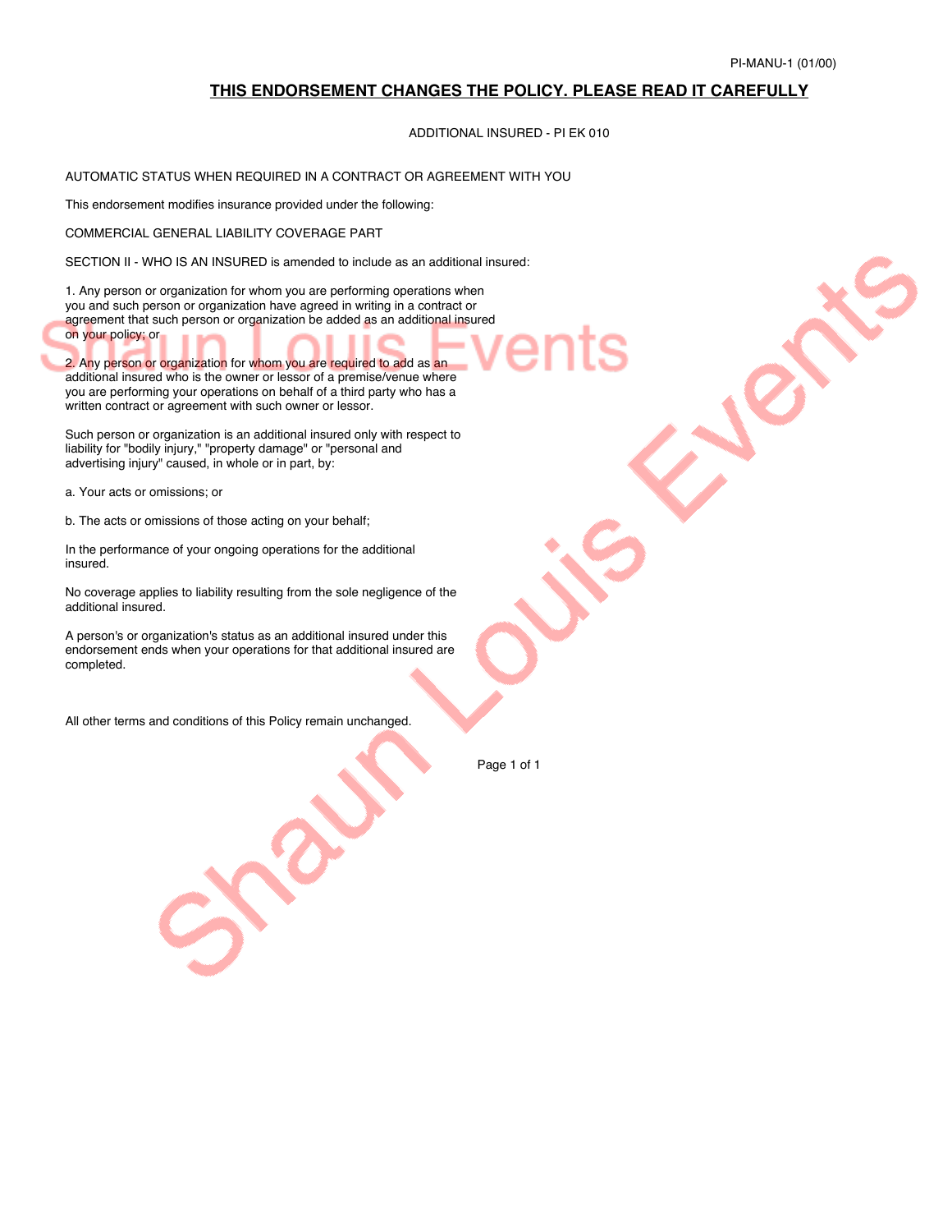### **THIS ENDORSEMENT CHANGES THE POLICY. PLEASE READ IT CAREFULLY**

#### ADDITIONAL INSURED - PI EK 010

### AUTOMATIC STATUS WHEN REQUIRED IN A CONTRACT OR AGREEMENT WITH YOU

This endorsement modifies insurance provided under the following:

COMMERCIAL GENERAL LIABILITY COVERAGE PART

SECTION II - WHO IS AN INSURED is amended to include as an additional insured:

1. Any person or organization for whom you are performing operations when you and such person or organization have agreed in writing in a contract or agreement that such person or organization be added as an additional insured on your policy; or

2. Any person or organization for whom you are required to add as an additional insured who is the owner or lessor of a premise/venue where you are performing your operations on behalf of a third party who has a written contract or agreement with such owner or lessor.

Such person or organization is an additional insured only with respect to liability for "bodily injury," "property damage" or "personal and advertising injury" caused, in whole or in part, by:

a. Your acts or omissions; or

b. The acts or omissions of those acting on your behalf;

In the performance of your ongoing operations for the additional insured.

No coverage applies to liability resulting from the sole negligence of the additional insured.

A person's or organization's status as an additional insured under this endorsement ends when your operations for that additional insured are completed.

All other terms and conditions of this Policy remain unchanged.

Page 1 of 1